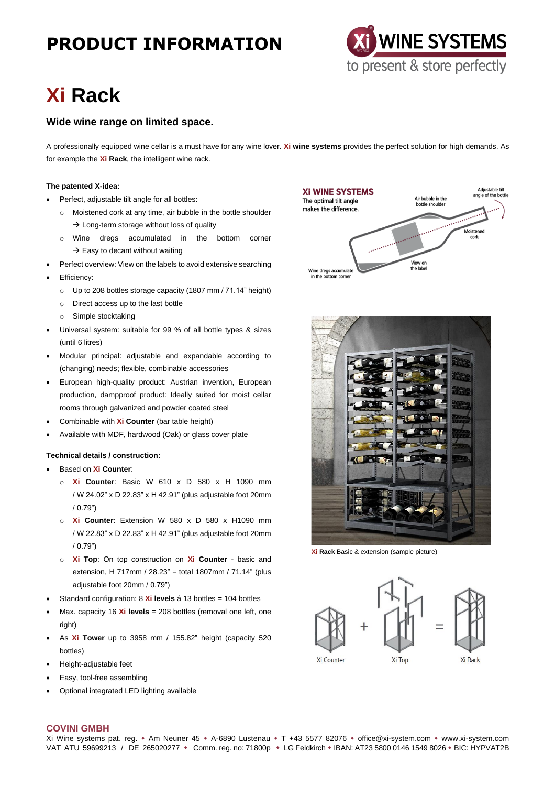# **PRODUCT INFORMATION**



# **Xi Rack**

### **Wide wine range on limited space.**

A professionally equipped wine cellar is a must have for any wine lover. **Xi wine systems** provides the perfect solution for high demands. As for example the **Xi Rack**, the intelligent wine rack.

#### **The patented X-idea:**

- Perfect, adjustable tilt angle for all bottles:
	- o Moistened cork at any time, air bubble in the bottle shoulder  $\rightarrow$  Long-term storage without loss of quality
	- o Wine dregs accumulated in the bottom corner  $\rightarrow$  Easy to decant without waiting
- Perfect overview: View on the labels to avoid extensive searching
- Efficiency:
	- o Up to 208 bottles storage capacity (1807 mm / 71.14" height)
	- o Direct access up to the last bottle
	- o Simple stocktaking
- Universal system: suitable for 99 % of all bottle types & sizes (until 6 litres)
- Modular principal: adjustable and expandable according to (changing) needs; flexible, combinable accessories
- European high-quality product: Austrian invention, European production, dampproof product: Ideally suited for moist cellar rooms through galvanized and powder coated steel
- Combinable with **Xi Counter** (bar table height)
- Available with MDF, hardwood (Oak) or glass cover plate

#### **Technical details / construction:**

- Based on **Xi Counter**:
	- o **Xi Counter**: Basic W 610 x D 580 x H 1090 mm / W 24.02" x D 22.83" x H 42.91" (plus adjustable foot 20mm / 0.79")
	- o **Xi Counter**: Extension W 580 x D 580 x H1090 mm / W 22.83" x D 22.83" x H 42.91" (plus adjustable foot 20mm / 0.79")
	- o **Xi Top**: On top construction on **Xi Counter** basic and extension, H 717mm / 28.23" = total 1807mm / 71.14" (plus adjustable foot 20mm / 0.79")
- Standard configuration: 8 **Xi levels** á 13 bottles = 104 bottles
- Max. capacity 16 **Xi levels** = 208 bottles (removal one left, one right)
- As **Xi Tower** up to 3958 mm / 155.82" height (capacity 520 bottles)
- Height-adjustable feet
- Easy, tool-free assembling
- Optional integrated LED lighting available





**Xi Rack** Basic & extension (sample picture)



#### **COVINI GMBH**